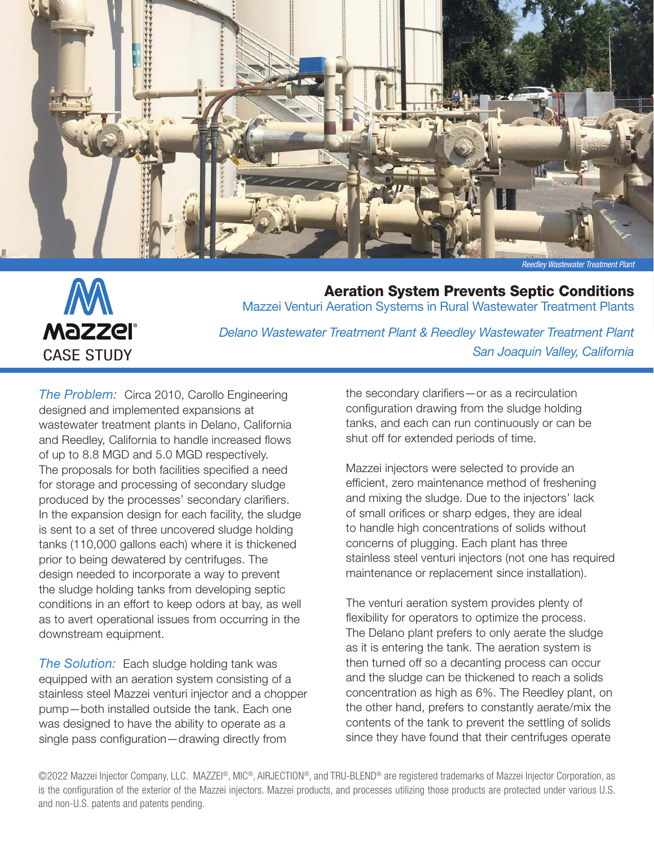

*Reedley Wastewater Treatment Plant*

*San Joaquin Valley, California*



Aeration System Prevents Septic Conditions Mazzei Venturi Aeration Systems in Rural Wastewater Treatment Plants *Delano Wastewater Treatment Plant & Reedley Wastewater Treatment Plant*

*The Problem:* Circa 2010, Carollo Engineering designed and implemented expansions at wastewater treatment plants in Delano, California and Reedley, California to handle increased flows of up to 8.8 MGD and 5.0 MGD respectively. The proposals for both facilities specified a need for storage and processing of secondary sludge produced by the processes' secondary clarifiers. In the expansion design for each facility, the sludge

is sent to a set of three uncovered sludge holding tanks (110,000 gallons each) where it is thickened prior to being dewatered by centrifuges. The design needed to incorporate a way to prevent the sludge holding tanks from developing septic conditions in an effort to keep odors at bay, as well as to avert operational issues from occurring in the downstream equipment.

*The Solution:* Each sludge holding tank was equipped with an aeration system consisting of a stainless steel Mazzei venturi injector and a chopper pump—both installed outside the tank. Each one was designed to have the ability to operate as a single pass configuration—drawing directly from

the secondary clarifiers—or as a recirculation configuration drawing from the sludge holding tanks, and each can run continuously or can be shut off for extended periods of time.

Mazzei injectors were selected to provide an efficient, zero maintenance method of freshening and mixing the sludge. Due to the injectors' lack of small orifices or sharp edges, they are ideal to handle high concentrations of solids without concerns of plugging. Each plant has three stainless steel venturi injectors (not one has required maintenance or replacement since installation).

The venturi aeration system provides plenty of flexibility for operators to optimize the process. The Delano plant prefers to only aerate the sludge as it is entering the tank. The aeration system is then turned off so a decanting process can occur and the sludge can be thickened to reach a solids concentration as high as 6%. The Reedley plant, on the other hand, prefers to constantly aerate/mix the contents of the tank to prevent the settling of solids since they have found that their centrifuges operate

©2022 Mazzei Injector Company, LLC. MAZZEI®, MIC®, AIRJECTION®, and TRU-BLEND® are registered trademarks of Mazzei Injector Corporation, as is the configuration of the exterior of the Mazzei injectors. Mazzei products, and processes utilizing those products are protected under various U.S. and non-U.S. patents and patents pending.